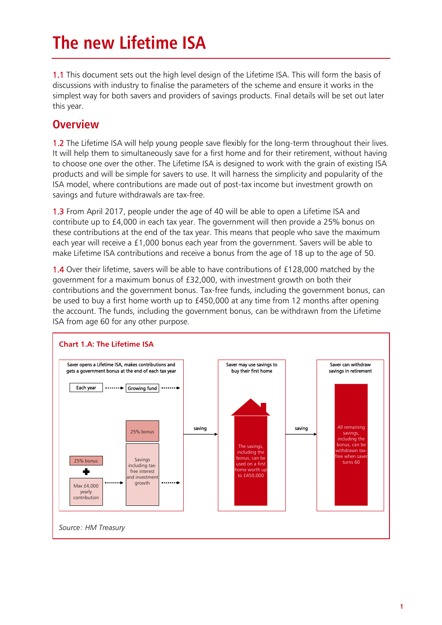# **The new Lifetime ISA**

1.1 This document sets out the high level design of the Lifetime ISA. This will form the basis of discussions with industry to finalise the parameters of the scheme and ensure it works in the simplest way for both savers and providers of savings products. Final details will be set out later this year.

# **Overview**

1.2 The Lifetime ISA will help young people save flexibly for the long-term throughout their lives. It will help them to simultaneously save for a first home and for their retirement, without having to choose one over the other. The Lifetime ISA is designed to work with the grain of existing ISA products and will be simple for savers to use. It will harness the simplicity and popularity of the ISA model, where contributions are made out of post-tax income but investment growth on savings and future withdrawals are tax-free.

1.3 From April 2017, people under the age of 40 will be able to open a Lifetime ISA and contribute up to £4,000 in each tax year. The government will then provide a 25% bonus on these contributions at the end of the tax year. This means that people who save the maximum each year will receive a £1,000 bonus each year from the government. Savers will be able to make Lifetime ISA contributions and receive a bonus from the age of 18 up to the age of 50.

1.4 Over their lifetime, savers will be able to have contributions of £128,000 matched by the government for a maximum bonus of £32,000, with investment growth on both their contributions and the government bonus. Tax-free funds, including the government bonus, can be used to buy a first home worth up to £450,000 at any time from 12 months after opening the account. The funds, including the government bonus, can be withdrawn from the Lifetime ISA from age 60 for any other purpose.

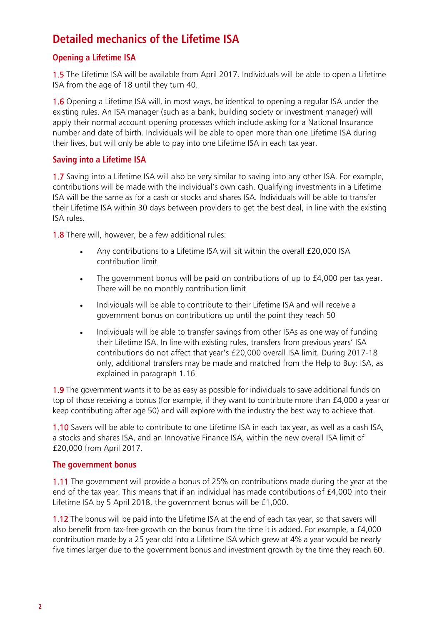# **Detailed mechanics of the Lifetime ISA**

# **Opening a Lifetime ISA**

1.5 The Lifetime ISA will be available from April 2017. Individuals will be able to open a Lifetime ISA from the age of 18 until they turn 40.

1.6 Opening a Lifetime ISA will, in most ways, be identical to opening a regular ISA under the existing rules. An ISA manager (such as a bank, building society or investment manager) will apply their normal account opening processes which include asking for a National Insurance number and date of birth. Individuals will be able to open more than one Lifetime ISA during their lives, but will only be able to pay into one Lifetime ISA in each tax year.

## **Saving into a Lifetime ISA**

1.7 Saving into a Lifetime ISA will also be very similar to saving into any other ISA. For example, contributions will be made with the individual's own cash. Qualifying investments in a Lifetime ISA will be the same as for a cash or stocks and shares ISA. Individuals will be able to transfer their Lifetime ISA within 30 days between providers to get the best deal, in line with the existing ISA rules.

1.8 There will, however, be a few additional rules:

- Any contributions to a Lifetime ISA will sit within the overall £20,000 ISA contribution limit
- The government bonus will be paid on contributions of up to £4,000 per tax year. There will be no monthly contribution limit
- Individuals will be able to contribute to their Lifetime ISA and will receive a government bonus on contributions up until the point they reach 50
- Individuals will be able to transfer savings from other ISAs as one way of funding their Lifetime ISA. In line with existing rules, transfers from previous years' ISA contributions do not affect that year's £20,000 overall ISA limit. During 2017-18 only, additional transfers may be made and matched from the Help to Buy: ISA, as explained in paragraph 1.16

1.9 The government wants it to be as easy as possible for individuals to save additional funds on top of those receiving a bonus (for example, if they want to contribute more than £4,000 a year or keep contributing after age 50) and will explore with the industry the best way to achieve that.

1.10 Savers will be able to contribute to one Lifetime ISA in each tax year, as well as a cash ISA, a stocks and shares ISA, and an Innovative Finance ISA, within the new overall ISA limit of £20,000 from April 2017.

## **The government bonus**

1.11 The government will provide a bonus of 25% on contributions made during the year at the end of the tax year. This means that if an individual has made contributions of £4,000 into their Lifetime ISA by 5 April 2018, the government bonus will be £1,000.

1.12 The bonus will be paid into the Lifetime ISA at the end of each tax year, so that savers will also benefit from tax-free growth on the bonus from the time it is added. For example, a £4,000 contribution made by a 25 year old into a Lifetime ISA which grew at 4% a year would be nearly five times larger due to the government bonus and investment growth by the time they reach 60.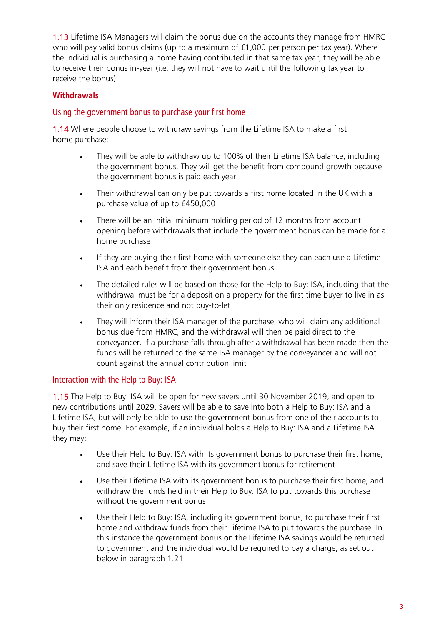1.13 Lifetime ISA Managers will claim the bonus due on the accounts they manage from HMRC who will pay valid bonus claims (up to a maximum of £1,000 per person per tax year). Where the individual is purchasing a home having contributed in that same tax year, they will be able to receive their bonus in-year (i.e. they will not have to wait until the following tax year to receive the bonus).

# **Withdrawals**

# Using the government bonus to purchase your first home

1.14 Where people choose to withdraw savings from the Lifetime ISA to make a first home purchase:

- They will be able to withdraw up to 100% of their Lifetime ISA balance, including the government bonus. They will get the benefit from compound growth because the government bonus is paid each year
- Their withdrawal can only be put towards a first home located in the UK with a purchase value of up to £450,000
- There will be an initial minimum holding period of 12 months from account opening before withdrawals that include the government bonus can be made for a home purchase
- If they are buying their first home with someone else they can each use a Lifetime ISA and each benefit from their government bonus
- The detailed rules will be based on those for the Help to Buy: ISA, including that the withdrawal must be for a deposit on a property for the first time buyer to live in as their only residence and not buy-to-let
- They will inform their ISA manager of the purchase, who will claim any additional bonus due from HMRC, and the withdrawal will then be paid direct to the conveyancer. If a purchase falls through after a withdrawal has been made then the funds will be returned to the same ISA manager by the conveyancer and will not count against the annual contribution limit

## Interaction with the Help to Buy: ISA

1.15 The Help to Buy: ISA will be open for new savers until 30 November 2019, and open to new contributions until 2029. Savers will be able to save into both a Help to Buy: ISA and a Lifetime ISA, but will only be able to use the government bonus from one of their accounts to buy their first home. For example, if an individual holds a Help to Buy: ISA and a Lifetime ISA they may:

- Use their Help to Buy: ISA with its government bonus to purchase their first home, and save their Lifetime ISA with its government bonus for retirement
- Use their Lifetime ISA with its government bonus to purchase their first home, and withdraw the funds held in their Help to Buy: ISA to put towards this purchase without the government bonus
- Use their Help to Buy: ISA, including its government bonus, to purchase their first home and withdraw funds from their Lifetime ISA to put towards the purchase. In this instance the government bonus on the Lifetime ISA savings would be returned to government and the individual would be required to pay a charge, as set out below in paragraph 1.21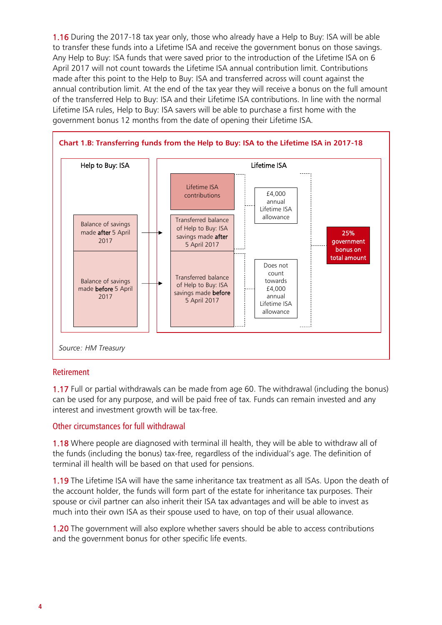1.16 During the 2017-18 tax year only, those who already have a Help to Buy: ISA will be able to transfer these funds into a Lifetime ISA and receive the government bonus on those savings. Any Help to Buy: ISA funds that were saved prior to the introduction of the Lifetime ISA on 6 April 2017 will not count towards the Lifetime ISA annual contribution limit. Contributions made after this point to the Help to Buy: ISA and transferred across will count against the annual contribution limit. At the end of the tax year they will receive a bonus on the full amount of the transferred Help to Buy: ISA and their Lifetime ISA contributions. In line with the normal Lifetime ISA rules, Help to Buy: ISA savers will be able to purchase a first home with the government bonus 12 months from the date of opening their Lifetime ISA.



#### Retirement

1.17 Full or partial withdrawals can be made from age 60. The withdrawal (including the bonus) can be used for any purpose, and will be paid free of tax. Funds can remain invested and any interest and investment growth will be tax-free.

## Other circumstances for full withdrawal

1.18 Where people are diagnosed with terminal ill health, they will be able to withdraw all of the funds (including the bonus) tax-free, regardless of the individual's age. The definition of terminal ill health will be based on that used for pensions.

1.19 The Lifetime ISA will have the same inheritance tax treatment as all ISAs. Upon the death of the account holder, the funds will form part of the estate for inheritance tax purposes. Their spouse or civil partner can also inherit their ISA tax advantages and will be able to invest as much into their own ISA as their spouse used to have, on top of their usual allowance.

1.20 The government will also explore whether savers should be able to access contributions and the government bonus for other specific life events.